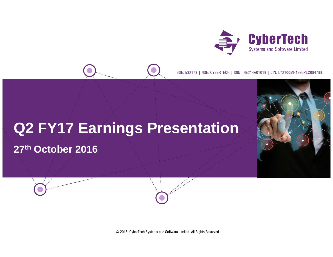

BSE: 532173 | NSE: CYBERTECH | ISIN: INE214A01019 | CIN: L72100MH1995PLC084788

# **Q2 FY17 Earnings Presentation**

**27th October 2016**

© 2016, CyberTech Systems and Software Limited. All Rights Reserved.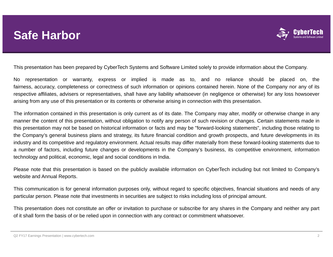### **Safe Harbor**



This presentation has been prepared by CyberTech Systems and Software Limited solely to provide information about the Company.

No representation or warranty, express or implied is made as to, and no reliance should be placed on, the fairness, accuracy, completeness or correctness of such information or opinions contained herein. None of the Company nor any of its respective affiliates, advisers or representatives, shall have any liability whatsoever (in negligence or otherwise) for any loss howsoever arising from any use of this presentation or its contents or otherwise arising in connection with this presentation.

The information contained in this presentation is only current as of its date. The Company may alter, modify or otherwise change in any manner the content of this presentation, without obligation to notify any person of such revision or changes. Certain statements made in this presentation may not be based on historical information or facts and may be "forward-looking statements", including those relating to the Company's general business plans and strategy, its future financial condition and growth prospects, and future developments in its industry and its competitive and regulatory environment. Actual results may differ materially from these forward-looking statements due to <sup>a</sup> number of factors, including future changes or developments in the Company's business, its competitive environment, information technology and political, economic, legal and social conditions in India.

Please note that this presentation is based on the publicly available information on CyberTech including but not limited to Company's website and Annual Reports.

This communication is for general information purposes only, without regard to specific objectives, financial situations and needs of any particular person. Please note that investments in securities are subject to risks including loss of principal amount.

This presentation does not constitute an offer or invitation to purchase or subscribe for any shares in the Company and neither any part of it shall form the basis of or be relied upon in connection with any contract or commitment whatsoever.

Q2 FY17 Earnings Presentation | www.cybertech.com 2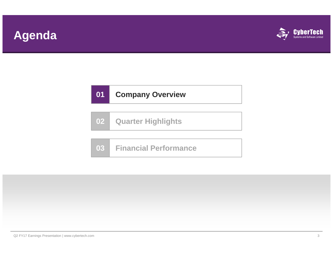# **Agenda**



|  | 02 Quarter Highlights |  |
|--|-----------------------|--|
|--|-----------------------|--|

| 03 Financial Performance |  |
|--------------------------|--|
|                          |  |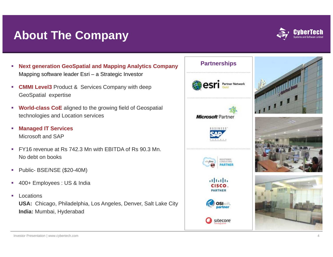## **About The Company**



- **Partnerships Next generation GeoSpatial and Mapping Analytics Company**  Mapping software leader Esri – a Strategic Investor
- ×, **CMMI Level3** Product & Services Company with deep GeoSpatial expertise
- $\overline{\phantom{a}}$  **World-class CoE** aligned to the growing field of Geospatial technologies and Location services
- ×, **Managed IT Services** Microsoft and SAP
- $\overline{\phantom{a}}$  FY16 revenue at Rs 742.3 Mn with EBITDA of Rs 90.3 Mn. No debt on books
- $\overline{\phantom{a}}$ Public- BSE/NSE (\$20-40M)
- $\mathcal{L}_{\mathcal{A}}$ 400+ Employees : US & India
- $\overline{\phantom{a}}$  Locations**USA:** Chicago, Philadelphia, Los Angeles, Denver, Salt Lake City **India:** Mumbai, Hyderabad

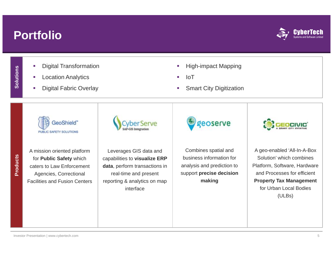## **Portfolio**



- **Solutions**
- **u** Digital Transformation Let us a larger than the High-impact Mapping Intervalse the Location Analytics Intervalse Intervalse the Location Analytics Intervalse Intervalse the Location Analytics Intervalse Interva
	- **Location Analytics**
	- Ė
- 
- 
- Digital Fabric Overlay **SMART CITY CONSERVING THE SMART CITY Digitization**

GeoShield" PUBLIC SAFETY SOLUTIONS

A mission oriented platform for **Public Safety** which caters to Law Enforcement Agencies, Correctional Facilities and Fusion Centers



Leverages GIS data and capabilities to **visualize ERP data**, perform transactions in real-time and present reporting & analytics on map interface

eoserve

Combines spatial and business information for analysis and prediction to support **precise decision making**



A geo-enabled 'All-In-A-Box Solution' which combines Platform, Software, Hardware and Processes for efficient **Property Tax Management**  for Urban Local Bodies (ULBs)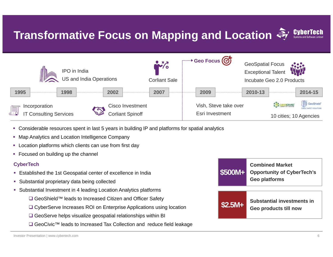# **Transformative Focus on Mapping and Location**



- Considerable resources spent in last 5 years in building IP and platforms for spatial analytics
- **College** Map Analytics and Location Intelligence Company
- Location platforms which clients can use from first day
- Focused on building up the channel

#### **CyberTech**

- Established the 1st Geospatial center of excellence in India
- Substantial proprietary data being collected
- Substantial Investment in 4 leading Location Analytics platforms
	- GeoShield™ leads to Increased Citizen and Officer Safety
	- **G** CyberServe Increases ROI on Enterprise Applications using location **COVICS COVICES Geo products till now**
	- **□ GeoServe helps visualize geospatial relationships within BI**
	- GeoCivic™ leads to Increased Tax Collection and reduce field leakage

| \$500M+  | <b>Combined Market</b><br><b>Opportunity of CyberTech's</b><br><b>Geo platforms</b> |  |  |  |  |  |
|----------|-------------------------------------------------------------------------------------|--|--|--|--|--|
|          |                                                                                     |  |  |  |  |  |
| $$2.5M+$ | Substantial investments in<br>Geo products till now                                 |  |  |  |  |  |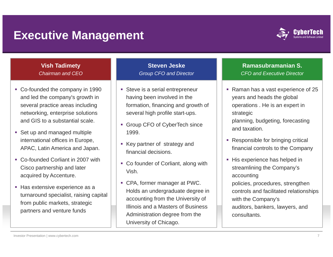### **Executive Management**



### **Vish Tadimety** *Chairman and CEO*

- Co-founded the company in 1990 and led the company's growth in several practice areas including and GIS to a substantial scale.
- **Set up and managed multiple** international offices in Europe, APAC, Latin America and Japan.
- Co-founded Corliant in 2007 with Cisco partnership and later acquired by Accenture. | | | | accounting
- Has extensive experience as a turnaround specialist, raising capital from public markets, strategic tners and venture funds

### **Steven Jeske***Group CFO and Director*

- networking, enterprise solutions || several high profile start-ups. || strategic **Steve is a serial entrepreneur** having been involved in the formation, financing and growth of several high profile start-ups.
	- Group CFO of CyberTech since 1999.
	- Key partner of strategy and financial decisions.
	- Co founder of Corliant, along with Vish.
- CPA, former manager at PWC. Holds an undergraduate degree in accounting from the University of Illinois and a Masters of Business partners and venture funds<br>
auditors, bankers, lawyers, and<br>
auditors, bankers, lawyers, and Administration degree from the University of Chicago.

### **Ramasubramanian S.** *CFO and Executive Director*

- Raman has a vast experience of 25 years and heads the global operations . He is an expert in planning, budgeting, forecasting and taxation.
- **Responsible for bringing critical** financial controls to the Company
- His experience has helped in streamlining the Company's policies, procedures, strengthen controls and facilitated relationships with the Company's consultants.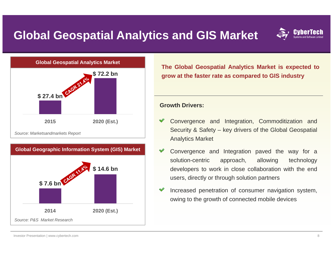# **Global Geospatial Analytics and GIS Market**







**The Global Geospatial Analytics Market is expected to grow at the faster rate as compared to GIS industry**

### **Growth Drivers:**

- Convergence and Integration, Commoditization and Security & Safety – key drivers of the Global Geospatial Analytics Market
- Convergence and Integration paved the way for <sup>a</sup> solution-centric approach, allowing technology developers to work in close collaboration with the end users, directly or through solution partners
- Increased penetration of consumer navigation system, owing to the growth of connected mobile devices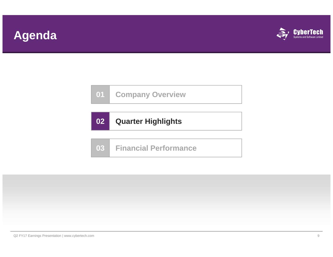## **Agenda**



**01Company Overview**

|  | 02 Quarter Highlights |
|--|-----------------------|
|--|-----------------------|

**03Financial Performance**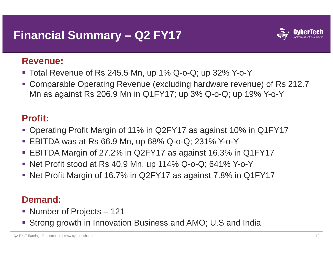# **Financial Summary – Q2 FY17**



### **Revenue:**

- Total Revenue of Rs 245.5 Mn, up 1% Q-o-Q; up 32% Y-o-Y
- Comparable Operating Revenue (excluding hardware revenue) of Rs 212.7 Mn as against Rs 206.9 Mn in Q1FY17; up 3% Q-o-Q; up 19% Y-o-Y

### **Profit:**

- Operating Profit Margin of 11% in Q2FY17 as against 10% in Q1FY17
- EBITDA was at Rs 66.9 Mn, up 68% Q-o-Q; 231% Y-o-Y
- EBITDA Margin of 27.2% in Q2FY17 as against 16.3% in Q1FY17
- Net Profit stood at Rs 40.9 Mn, up 114% Q-o-Q; 641% Y-o-Y
- Net Profit Margin of 16.7% in Q2FY17 as against 7.8% in Q1FY17

### **Demand:**

- Number of Projects 121
- Strong growth in Innovation Business and AMO; U.S and India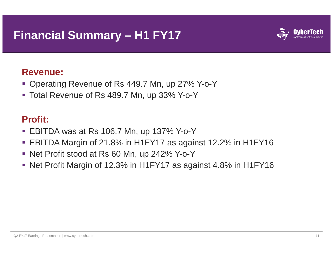# **Financial Summary – H1 FY17**



### **Revenue:**

- Operating Revenue of Rs 449.7 Mn, up 27% Y-o-Y
- Total Revenue of Rs 489.7 Mn, up 33% Y-o-Y

### **Profit:**

- EBITDA was at Rs 106.7 Mn, up 137% Y-o-Y
- $\blacksquare$  EBITDA Margin of 21.8% in H1FY17 as against 12.2% in H1FY16
- Net Profit stood at Rs 60 Mn, up 242% Y-o-Y
- Net Profit Margin of 12.3% in H1FY17 as against 4.8% in H1FY16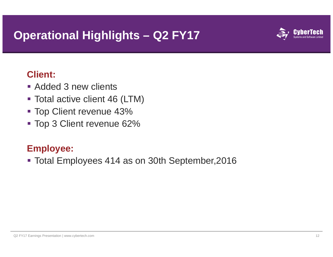## **Operational Highlights – Q2 FY17**



### **Client:**

- Added 3 new clients
- Total active client 46 (LTM)
- **Top Client revenue 43%**
- Top 3 Client revenue 62%

### **Employee:**

Total Employees 414 as on 30th September,2016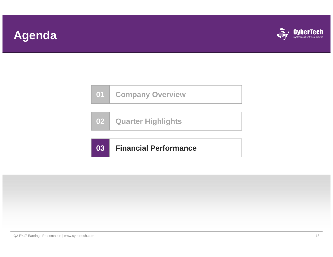# **Agenda**



| <b>Company Overview</b><br>$\mathbf{0}$ 1 |
|-------------------------------------------|
|-------------------------------------------|

|  | 02 Quarter Highlights |  |
|--|-----------------------|--|
|--|-----------------------|--|

#### **03Financial Performance**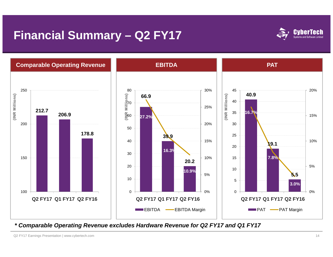# **Financial Summary – Q2 FY17**





*\* Comparable Operating Revenue excludes Hardware Revenue for Q2 FY17 and Q1 FY17*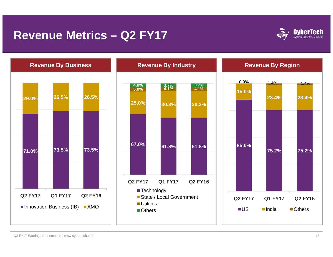### **Revenue Metrics – Q2 FY17**





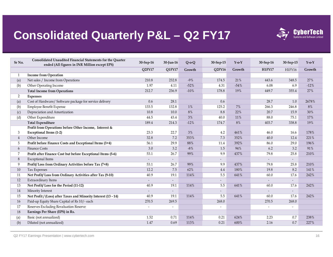# **Consolidated Quarterly P&L – Q2 FY17**



| Sr No.         | Consolidated Unaudited Financial Statements for the Quarter<br>ended (All figures in INR Million except EPS) | 30-Sep-16                | 30-Jun-16                | $Q$ -o- $Q$ | 30-Sep-15                | $Y-0-Y$ | 30-Sep-16     | 30-Sep-15                | $Y-0-Y$ |
|----------------|--------------------------------------------------------------------------------------------------------------|--------------------------|--------------------------|-------------|--------------------------|---------|---------------|--------------------------|---------|
|                |                                                                                                              | Q2FY17                   | Q1FY17                   | Growth      | Q2FY16                   | Growth  | <b>H1FY17</b> | H1FY16                   | Growth  |
| 1              | <b>Income from Operation</b>                                                                                 |                          |                          |             |                          |         |               |                          |         |
| (a)            | Net sales / Income from Operations                                                                           | 210.8                    | 232.8                    | $-9%$       | 174.5                    | 21%     | 443.6         | 348.5                    | 27%     |
| (b)            | Other Operating Income                                                                                       | 1.97                     | 4.11                     | $-52%$      | 4.31                     | $-54%$  | 6.08          | 6.9                      | $-12%$  |
|                | <b>Total Income from Operations</b>                                                                          | 212.7                    | 236.9                    | $-10%$      | 178.8                    | 19%     | 449.7         | 355.4                    | 27%     |
| $\overline{2}$ | Expenses                                                                                                     |                          |                          |             |                          |         |               |                          |         |
| (a)            | Cost of Hardware/ Software package for service delivery                                                      | 0.6                      | 28.1                     |             | 0.6                      |         | 28.7          | 1.0                      | 2678%   |
| (b)            | <b>Employee Benefit Expense</b>                                                                              | 133.5                    | 132.8                    | 1%          | 125.2                    | 7%      | 266.3         | 246.8                    | $8\%$   |
| (c)            | Depreciation and Amortization                                                                                | 10.8                     | 10.0                     | 8%          | 8.8                      | 22%     | 20.7          | 15.9                     | 30%     |
| (d)            | Other Expenditure                                                                                            | 44.5                     | 43.4                     | 3%          | 40.0                     | 11%     | 88.0          | 75.1                     | 17%     |
|                | <b>Total Expenditure</b>                                                                                     | 189.4                    | 214.3                    | $-12%$      | 174.7                    | 8%      | 403.7         | 338.8                    | 19%     |
|                | Profit from Operations before Other Income, Interest &                                                       |                          |                          |             |                          |         |               |                          |         |
| 3              | <b>Exceptional Items (1-2)</b>                                                                               | 23.3                     | 22.7                     | 3%          | 4.2                      | 461%    | 46.0          | 16.6                     | 178%    |
| 4              | Other Income                                                                                                 | 32.8                     | 7.2                      | 353%        | 7.3                      | 352%    | 40.0          | 12.4                     | 221%    |
| 5              | Profit before Finance Costs and Exceptional Items (3+4)                                                      | 56.1                     | 29.9                     | 88%         | 11.4                     | 392%    | 86.0          | 29.0                     | 196%    |
| 6              | <b>Finance Costs</b>                                                                                         | 3.0                      | 3.2                      | $-8%$       | 1.5                      | 94%     | 6.2           | 3.2                      | 91%     |
| 7              | Profit after Finance Cost but before Exceptional Items (5-6)                                                 | 53.1                     | 26.7                     | 99%         | 9.9                      | 437%    | 79.8          | 25.8                     | 210%    |
| 8              | <b>Exceptional Items</b>                                                                                     | $\overline{\phantom{a}}$ | $\overline{\phantom{a}}$ |             | $\overline{\phantom{a}}$ |         |               | $\overline{\phantom{a}}$ |         |
| 9              | Profit/Loss from Ordinary Activities before Tax (7+8)                                                        | 53.1                     | 26.7                     | 99%         | 9.9                      | 437%    | 79.8          | 25.8                     | 210%    |
| 10             | Tax Expenses                                                                                                 | 12.2                     | 7.5                      | 62%         | 4.4                      | 180%    | 19.8          | 8.2                      | 141%    |
| 11             | Net Profit/Loss from Ordinary Activities after Tax (9-10)                                                    | 40.9                     | 19.1                     | 114%        | 5.5                      | 641%    | 60.0          | 17.6                     | 242%    |
| 12             | <b>Extraordinary Items</b>                                                                                   | $\omega$                 | $\overline{\phantom{a}}$ |             | $\overline{\phantom{0}}$ |         |               |                          |         |
| 13             | Net Profit/Loss for the Period (11-12)                                                                       | 40.9                     | 19.1                     | 114%        | 5.5                      | 641%    | 60.0          | 17.6                     | 242%    |
| 14             | Minority Interest                                                                                            | $\overline{\phantom{a}}$ | $\overline{\phantom{a}}$ |             | $\overline{\phantom{0}}$ |         |               |                          |         |
| 15             | Net Profit / (Loss) after Taxes and Minority Interest (13 - 14)                                              | 40.9                     | 19.1                     | 114%        | 5.5                      | 641%    | 60.0          | 17.6                     | 242%    |
| 16             | Paid-up Equity Share Capital of Rs 10/- each                                                                 | 270.5                    | 269.5                    |             | 268.0                    |         | 270.5         | 268.0                    |         |
| 17             | Reserves Excluding Revaluation Reserve                                                                       | $\overline{\phantom{a}}$ | $\overline{\phantom{a}}$ |             | $\overline{\phantom{a}}$ |         |               |                          |         |
| 18             | Earnings Per Share (EPS) in Rs.                                                                              |                          |                          |             |                          |         |               |                          |         |
| (a)            | Basic (not annualized)                                                                                       | 1.52                     | 0.71                     | 114%        | 0.21                     | 624%    | 2.23          | 0.7                      | 238%    |
| (b)            | Diluted (not annualized)                                                                                     | 1.47                     | 0.69                     | 113%        | 0.21                     | 600%    | 2.16          | 0.7                      | 227%    |

Q2 FY17 Earnings Presentation | www.cybertech.com 16